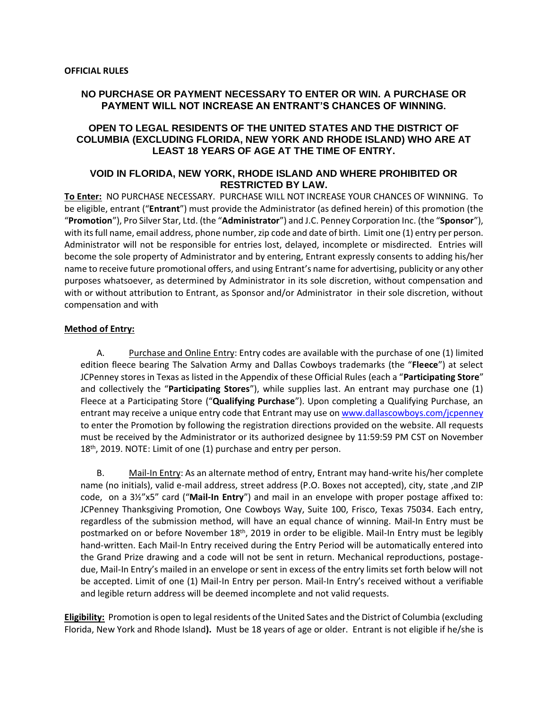## **NO PURCHASE OR PAYMENT NECESSARY TO ENTER OR WIN. A PURCHASE OR PAYMENT WILL NOT INCREASE AN ENTRANT'S CHANCES OF WINNING.**

## **OPEN TO LEGAL RESIDENTS OF THE UNITED STATES AND THE DISTRICT OF COLUMBIA (EXCLUDING FLORIDA, NEW YORK AND RHODE ISLAND) WHO ARE AT LEAST 18 YEARS OF AGE AT THE TIME OF ENTRY.**

### **VOID IN FLORIDA, NEW YORK, RHODE ISLAND AND WHERE PROHIBITED OR RESTRICTED BY LAW.**

**To Enter:** NO PURCHASE NECESSARY. PURCHASE WILL NOT INCREASE YOUR CHANCES OF WINNING. To be eligible, entrant ("**Entrant**") must provide the Administrator (as defined herein) of this promotion (the "**Promotion**"), Pro Silver Star, Ltd. (the "**Administrator**") and J.C. Penney Corporation Inc. (the "**Sponsor**"), with its full name, email address, phone number, zip code and date of birth. Limit one (1) entry per person. Administrator will not be responsible for entries lost, delayed, incomplete or misdirected. Entries will become the sole property of Administrator and by entering, Entrant expressly consents to adding his/her name to receive future promotional offers, and using Entrant's name for advertising, publicity or any other purposes whatsoever, as determined by Administrator in its sole discretion, without compensation and with or without attribution to Entrant, as Sponsor and/or Administrator in their sole discretion, without compensation and with

#### **Method of Entry:**

A. Purchase and Online Entry: Entry codes are available with the purchase of one (1) limited edition fleece bearing The Salvation Army and Dallas Cowboys trademarks (the "**Fleece**") at select JCPenney stores in Texas as listed in the Appendix of these Official Rules (each a "**Participating Store**" and collectively the "**Participating Stores**"), while supplies last. An entrant may purchase one (1) Fleece at a Participating Store ("**Qualifying Purchase**"). Upon completing a Qualifying Purchase, an entrant may receive a unique entry code that Entrant may use on [www.dallascowboys.com/jcpenney](http://www.dallascowboys.com/jcpenney) to enter the Promotion by following the registration directions provided on the website. All requests must be received by the Administrator or its authorized designee by 11:59:59 PM CST on November 18<sup>th</sup>, 2019. NOTE: Limit of one (1) purchase and entry per person.

B. Mail-In Entry: As an alternate method of entry, Entrant may hand-write his/her complete name (no initials), valid e-mail address, street address (P.O. Boxes not accepted), city, state ,and ZIP code, on a 3½"x5" card ("**Mail-In Entry**") and mail in an envelope with proper postage affixed to: JCPenney Thanksgiving Promotion, One Cowboys Way, Suite 100, Frisco, Texas 75034. Each entry, regardless of the submission method, will have an equal chance of winning. Mail-In Entry must be postmarked on or before November 18<sup>th</sup>, 2019 in order to be eligible. Mail-In Entry must be legibly hand-written. Each Mail-In Entry received during the Entry Period will be automatically entered into the Grand Prize drawing and a code will not be sent in return. Mechanical reproductions, postagedue, Mail-In Entry's mailed in an envelope or sent in excess of the entry limits set forth below will not be accepted. Limit of one (1) Mail-In Entry per person. Mail-In Entry's received without a verifiable and legible return address will be deemed incomplete and not valid requests.

**Eligibility:** Promotion is open to legal residents of the United Sates and the District of Columbia (excluding Florida, New York and Rhode Island**).** Must be 18 years of age or older. Entrant is not eligible if he/she is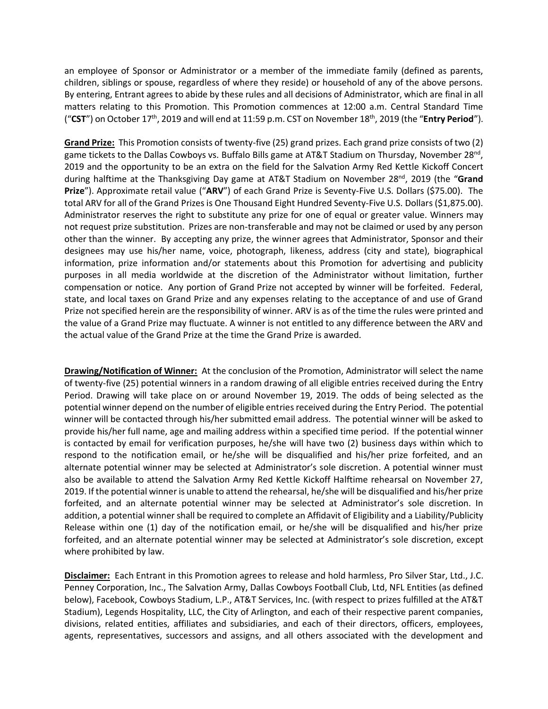an employee of Sponsor or Administrator or a member of the immediate family (defined as parents, children, siblings or spouse, regardless of where they reside) or household of any of the above persons. By entering, Entrant agrees to abide by these rules and all decisions of Administrator, which are final in all matters relating to this Promotion. This Promotion commences at 12:00 a.m. Central Standard Time ("**CST**") on October 17<sup>th</sup>, 2019 and will end at 11:59 p.m. CST on November 18<sup>th</sup>, 2019 (the "**Entry Period**").

**Grand Prize:** This Promotion consists of twenty-five (25) grand prizes. Each grand prize consists of two (2) game tickets to the Dallas Cowboys vs. Buffalo Bills game at AT&T Stadium on Thursday, November 28<sup>nd</sup>, 2019 and the opportunity to be an extra on the field for the Salvation Army Red Kettle Kickoff Concert during halftime at the Thanksgiving Day game at AT&T Stadium on November 28<sup>nd</sup>, 2019 (the "Grand **Prize**"). Approximate retail value ("**ARV**") of each Grand Prize is Seventy-Five U.S. Dollars (\$75.00). The total ARV for all of the Grand Prizes is One Thousand Eight Hundred Seventy-Five U.S. Dollars (\$1,875.00). Administrator reserves the right to substitute any prize for one of equal or greater value. Winners may not request prize substitution. Prizes are non-transferable and may not be claimed or used by any person other than the winner. By accepting any prize, the winner agrees that Administrator, Sponsor and their designees may use his/her name, voice, photograph, likeness, address (city and state), biographical information, prize information and/or statements about this Promotion for advertising and publicity purposes in all media worldwide at the discretion of the Administrator without limitation, further compensation or notice. Any portion of Grand Prize not accepted by winner will be forfeited. Federal, state, and local taxes on Grand Prize and any expenses relating to the acceptance of and use of Grand Prize not specified herein are the responsibility of winner. ARV is as of the time the rules were printed and the value of a Grand Prize may fluctuate. A winner is not entitled to any difference between the ARV and the actual value of the Grand Prize at the time the Grand Prize is awarded.

**Drawing/Notification of Winner:** At the conclusion of the Promotion, Administrator will select the name of twenty-five (25) potential winners in a random drawing of all eligible entries received during the Entry Period. Drawing will take place on or around November 19, 2019. The odds of being selected as the potential winner depend on the number of eligible entries received during the Entry Period. The potential winner will be contacted through his/her submitted email address. The potential winner will be asked to provide his/her full name, age and mailing address within a specified time period. If the potential winner is contacted by email for verification purposes, he/she will have two (2) business days within which to respond to the notification email, or he/she will be disqualified and his/her prize forfeited, and an alternate potential winner may be selected at Administrator's sole discretion. A potential winner must also be available to attend the Salvation Army Red Kettle Kickoff Halftime rehearsal on November 27, 2019. If the potential winner is unable to attend the rehearsal, he/she will be disqualified and his/her prize forfeited, and an alternate potential winner may be selected at Administrator's sole discretion. In addition, a potential winner shall be required to complete an Affidavit of Eligibility and a Liability/Publicity Release within one (1) day of the notification email, or he/she will be disqualified and his/her prize forfeited, and an alternate potential winner may be selected at Administrator's sole discretion, except where prohibited by law.

**Disclaimer:** Each Entrant in this Promotion agrees to release and hold harmless, Pro Silver Star, Ltd., J.C. Penney Corporation, Inc., The Salvation Army, Dallas Cowboys Football Club, Ltd, NFL Entities (as defined below), Facebook, Cowboys Stadium, L.P., AT&T Services, Inc. (with respect to prizes fulfilled at the AT&T Stadium), Legends Hospitality, LLC, the City of Arlington, and each of their respective parent companies, divisions, related entities, affiliates and subsidiaries, and each of their directors, officers, employees, agents, representatives, successors and assigns, and all others associated with the development and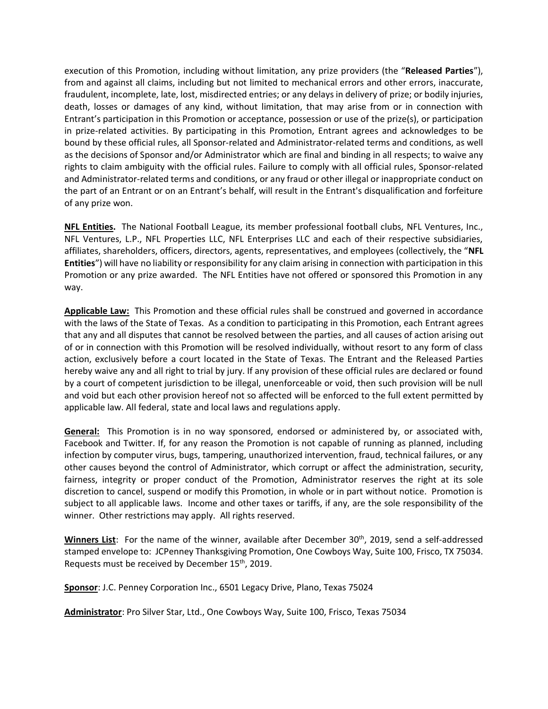execution of this Promotion, including without limitation, any prize providers (the "**Released Parties**"), from and against all claims, including but not limited to mechanical errors and other errors, inaccurate, fraudulent, incomplete, late, lost, misdirected entries; or any delays in delivery of prize; or bodily injuries, death, losses or damages of any kind, without limitation, that may arise from or in connection with Entrant's participation in this Promotion or acceptance, possession or use of the prize(s), or participation in prize-related activities. By participating in this Promotion, Entrant agrees and acknowledges to be bound by these official rules, all Sponsor-related and Administrator-related terms and conditions, as well as the decisions of Sponsor and/or Administrator which are final and binding in all respects; to waive any rights to claim ambiguity with the official rules. Failure to comply with all official rules, Sponsor-related and Administrator-related terms and conditions, or any fraud or other illegal or inappropriate conduct on the part of an Entrant or on an Entrant's behalf, will result in the Entrant's disqualification and forfeiture of any prize won.

**NFL Entities.** The National Football League, its member professional football clubs, NFL Ventures, Inc., NFL Ventures, L.P., NFL Properties LLC, NFL Enterprises LLC and each of their respective subsidiaries, affiliates, shareholders, officers, directors, agents, representatives, and employees (collectively, the "**NFL Entities**") will have no liability or responsibility for any claim arising in connection with participation in this Promotion or any prize awarded. The NFL Entities have not offered or sponsored this Promotion in any way.

**Applicable Law:** This Promotion and these official rules shall be construed and governed in accordance with the laws of the State of Texas. As a condition to participating in this Promotion, each Entrant agrees that any and all disputes that cannot be resolved between the parties, and all causes of action arising out of or in connection with this Promotion will be resolved individually, without resort to any form of class action, exclusively before a court located in the State of Texas. The Entrant and the Released Parties hereby waive any and all right to trial by jury. If any provision of these official rules are declared or found by a court of competent jurisdiction to be illegal, unenforceable or void, then such provision will be null and void but each other provision hereof not so affected will be enforced to the full extent permitted by applicable law. All federal, state and local laws and regulations apply.

**General:** This Promotion is in no way sponsored, endorsed or administered by, or associated with, Facebook and Twitter. If, for any reason the Promotion is not capable of running as planned, including infection by computer virus, bugs, tampering, unauthorized intervention, fraud, technical failures, or any other causes beyond the control of Administrator, which corrupt or affect the administration, security, fairness, integrity or proper conduct of the Promotion, Administrator reserves the right at its sole discretion to cancel, suspend or modify this Promotion, in whole or in part without notice. Promotion is subject to all applicable laws. Income and other taxes or tariffs, if any, are the sole responsibility of the winner. Other restrictions may apply. All rights reserved.

**Winners List**: For the name of the winner, available after December 30<sup>th</sup>, 2019, send a self-addressed stamped envelope to: JCPenney Thanksgiving Promotion, One Cowboys Way, Suite 100, Frisco, TX 75034. Requests must be received by December 15<sup>th</sup>, 2019.

**Sponsor**: J.C. Penney Corporation Inc., 6501 Legacy Drive, Plano, Texas 75024

**Administrator**: Pro Silver Star, Ltd., One Cowboys Way, Suite 100, Frisco, Texas 75034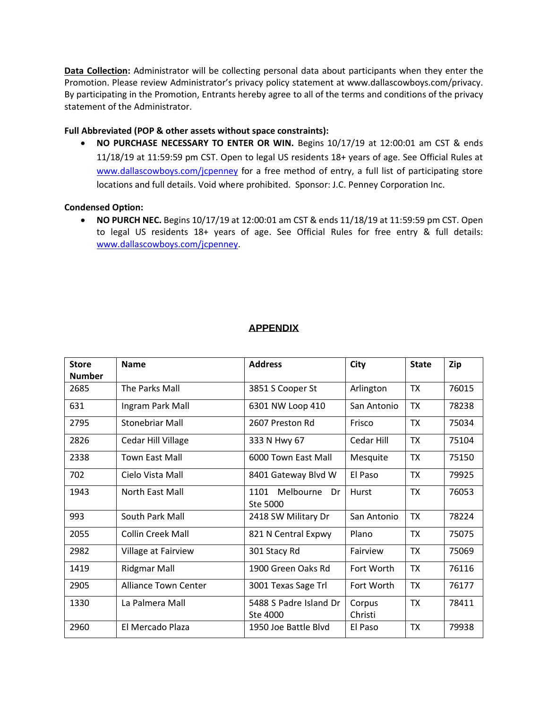**Data Collection:** Administrator will be collecting personal data about participants when they enter the Promotion. Please review Administrator's privacy policy statement at www.dallascowboys.com/privacy. By participating in the Promotion, Entrants hereby agree to all of the terms and conditions of the privacy statement of the Administrator.

## **Full Abbreviated (POP & other assets without space constraints):**

• **NO PURCHASE NECESSARY TO ENTER OR WIN.** Begins 10/17/19 at 12:00:01 am CST & ends 11/18/19 at 11:59:59 pm CST. Open to legal US residents 18+ years of age. See Official Rules at [www.dallascowboys.com/jcpenney](http://www.dallascowboys.com/jcpenney) for a free method of entry, a full list of participating store locations and full details. Void where prohibited. Sponsor: J.C. Penney Corporation Inc.

## **Condensed Option:**

• **NO PURCH NEC.** Begins 10/17/19 at 12:00:01 am CST & ends 11/18/19 at 11:59:59 pm CST. Open to legal US residents 18+ years of age. See Official Rules for free entry & full details: [www.dallascowboys.com/jcpenney.](http://www.dallascowboys.com/jcpenney)

# **APPENDIX**

| <b>Store</b>  | <b>Name</b>                 | <b>Address</b>          | City        | <b>State</b> | Zip   |
|---------------|-----------------------------|-------------------------|-------------|--------------|-------|
| <b>Number</b> |                             |                         |             |              |       |
| 2685          | The Parks Mall              | 3851 S Cooper St        | Arlington   | <b>TX</b>    | 76015 |
| 631           | Ingram Park Mall            | 6301 NW Loop 410        | San Antonio | <b>TX</b>    | 78238 |
| 2795          | Stonebriar Mall             | 2607 Preston Rd         | Frisco      | <b>TX</b>    | 75034 |
| 2826          | Cedar Hill Village          | 333 N Hwy 67            | Cedar Hill  | <b>TX</b>    | 75104 |
| 2338          | <b>Town East Mall</b>       | 6000 Town East Mall     | Mesquite    | <b>TX</b>    | 75150 |
| 702           | Cielo Vista Mall            | 8401 Gateway Blvd W     | El Paso     | <b>TX</b>    | 79925 |
| 1943          | North East Mall             | Melbourne<br>1101<br>Dr | Hurst       | <b>TX</b>    | 76053 |
|               |                             | Ste 5000                |             |              |       |
| 993           | South Park Mall             | 2418 SW Military Dr     | San Antonio | <b>TX</b>    | 78224 |
| 2055          | Collin Creek Mall           | 821 N Central Expwy     | Plano       | <b>TX</b>    | 75075 |
| 2982          | Village at Fairview         | 301 Stacy Rd            | Fairview    | <b>TX</b>    | 75069 |
| 1419          | <b>Ridgmar Mall</b>         | 1900 Green Oaks Rd      | Fort Worth  | <b>TX</b>    | 76116 |
| 2905          | <b>Alliance Town Center</b> | 3001 Texas Sage Trl     | Fort Worth  | <b>TX</b>    | 76177 |
| 1330          | La Palmera Mall             | 5488 S Padre Island Dr  | Corpus      | <b>TX</b>    | 78411 |
|               |                             | Ste 4000                | Christi     |              |       |
| 2960          | El Mercado Plaza            | 1950 Joe Battle Blyd    | El Paso     | <b>TX</b>    | 79938 |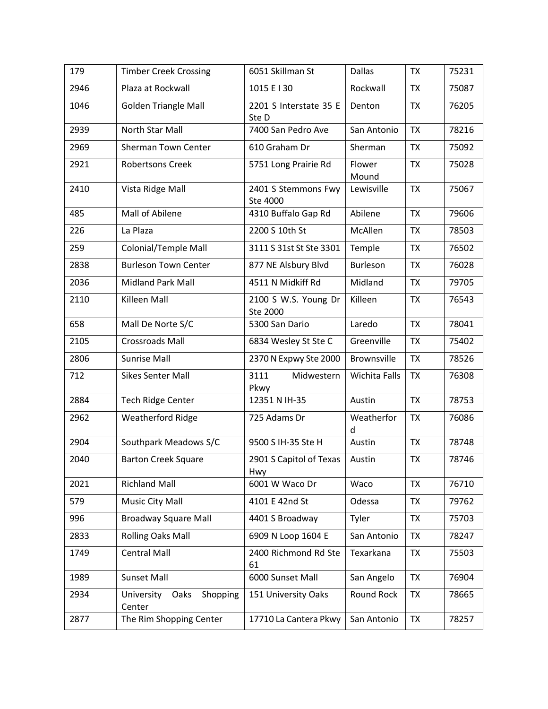| 179  | <b>Timber Creek Crossing</b>             | 6051 Skillman St                 | <b>Dallas</b>   | <b>TX</b> | 75231 |
|------|------------------------------------------|----------------------------------|-----------------|-----------|-------|
| 2946 | Plaza at Rockwall                        | 1015 E I 30                      | Rockwall        | <b>TX</b> | 75087 |
| 1046 | <b>Golden Triangle Mall</b>              | 2201 S Interstate 35 E<br>Ste D  | Denton          | <b>TX</b> | 76205 |
| 2939 | North Star Mall                          | 7400 San Pedro Ave               | San Antonio     | <b>TX</b> | 78216 |
| 2969 | Sherman Town Center                      | 610 Graham Dr                    | Sherman         | <b>TX</b> | 75092 |
| 2921 | <b>Robertsons Creek</b>                  | 5751 Long Prairie Rd             | Flower<br>Mound | <b>TX</b> | 75028 |
| 2410 | Vista Ridge Mall                         | 2401 S Stemmons Fwy<br>Ste 4000  | Lewisville      | <b>TX</b> | 75067 |
| 485  | Mall of Abilene                          | 4310 Buffalo Gap Rd              | Abilene         | <b>TX</b> | 79606 |
| 226  | La Plaza                                 | 2200 S 10th St                   | McAllen         | <b>TX</b> | 78503 |
| 259  | Colonial/Temple Mall                     | 3111 S 31st St Ste 3301          | Temple          | <b>TX</b> | 76502 |
| 2838 | <b>Burleson Town Center</b>              | 877 NE Alsbury Blvd              | Burleson        | <b>TX</b> | 76028 |
| 2036 | Midland Park Mall                        | 4511 N Midkiff Rd                | Midland         | <b>TX</b> | 79705 |
| 2110 | Killeen Mall                             | 2100 S W.S. Young Dr<br>Ste 2000 | Killeen         | <b>TX</b> | 76543 |
| 658  | Mall De Norte S/C                        | 5300 San Dario                   | Laredo          | <b>TX</b> | 78041 |
| 2105 | <b>Crossroads Mall</b>                   | 6834 Wesley St Ste C             | Greenville      | <b>TX</b> | 75402 |
| 2806 | <b>Sunrise Mall</b>                      | 2370 N Expwy Ste 2000            | Brownsville     | <b>TX</b> | 78526 |
| 712  | <b>Sikes Senter Mall</b>                 | 3111<br>Midwestern<br>Pkwy       | Wichita Falls   | <b>TX</b> | 76308 |
| 2884 | Tech Ridge Center                        | 12351 N IH-35                    | Austin          | <b>TX</b> | 78753 |
| 2962 | <b>Weatherford Ridge</b>                 | 725 Adams Dr                     | Weatherfor<br>d | <b>TX</b> | 76086 |
| 2904 | Southpark Meadows S/C                    | 9500 S IH-35 Ste H               | Austin          | <b>TX</b> | 78748 |
| 2040 | <b>Barton Creek Square</b>               | 2901 S Capitol of Texas<br>Hwy   | Austin          | <b>TX</b> | 78746 |
| 2021 | <b>Richland Mall</b>                     | 6001 W Waco Dr                   | Waco            | <b>TX</b> | 76710 |
| 579  | Music City Mall                          | 4101 E 42nd St                   | Odessa          | <b>TX</b> | 79762 |
| 996  | <b>Broadway Square Mall</b>              | 4401 S Broadway                  | Tyler           | <b>TX</b> | 75703 |
| 2833 | <b>Rolling Oaks Mall</b>                 | 6909 N Loop 1604 E               | San Antonio     | <b>TX</b> | 78247 |
| 1749 | <b>Central Mall</b>                      | 2400 Richmond Rd Ste<br>61       | Texarkana       | <b>TX</b> | 75503 |
| 1989 | Sunset Mall                              | 6000 Sunset Mall                 | San Angelo      | <b>TX</b> | 76904 |
| 2934 | University<br>Oaks<br>Shopping<br>Center | 151 University Oaks              | Round Rock      | <b>TX</b> | 78665 |
| 2877 | The Rim Shopping Center                  | 17710 La Cantera Pkwy            | San Antonio     | <b>TX</b> | 78257 |